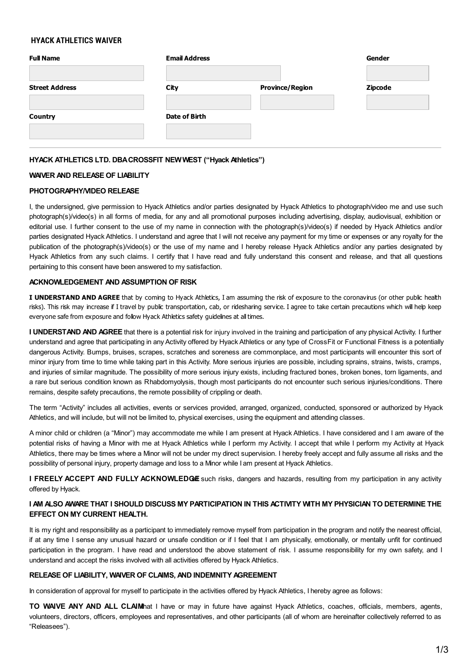# **HYACK ATHLETICS WAIVER**

| <b>Full Name</b>      | <b>Email Address</b> |                        | Gender         |
|-----------------------|----------------------|------------------------|----------------|
| <b>Street Address</b> | City                 | <b>Province/Region</b> | <b>Zipcode</b> |
| <b>Country</b>        | Date of Birth        |                        |                |
|                       |                      |                        |                |

## **HYACK ATHLETICS LTD. DBACROSSFIT NEWWEST ("Hyack Athletics")**

### **WAIVER AND RELEASE OF LIABILITY**

### **PHOTOGRAPHY/VIDEO RELEASE**

I, the undersigned, give permission to Hyack Athletics and/or parties designated by Hyack Athletics to photograph/video me and use such photograph(s)/video(s) in all forms of media, for any and all promotional purposes including advertising, display, audiovisual, exhibition or editorial use. I further consent to the use of my name in connection with the photograph(s)/video(s) if needed by Hyack Athletics and/or parties designated Hyack Athletics. I understand and agree that I will not receive any payment for my time or expenses or any royalty for the publication of the photograph(s)/video(s) or the use of my name and I hereby release Hyack Athletics and/or any parties designated by Hyack Athletics from any such claims. I certify that I have read and fully understand this consent and release, and that all questions pertaining to this consent have been answered to my satisfaction.

### **ACKNOWLEDGEMENT AND ASSUMPTION OF RISK**

**I UNDERSTAND AND AGREE** that by coming to Hyack Athletics, I am assuming the risk of exposure to the coronavirus (or other public health risks). This risk may increase if I travel by public transportation, cab, or ridesharing service. I agree to take certain precautions which will help keep everyone safe from exposure and follow Hyack Athletics safety guidelines at all times.

**I UNDERSTAND AND AGREE** that there is a potential risk for injury involved in the training and participation of any physical Activity. I further understand and agree that participating in any Activity offered by Hyack Athletics or any type of CrossFit or Functional Fitness is a potentially dangerous Activity. Bumps, bruises, scrapes, scratches and soreness are commonplace, and most participants will encounter this sort of minor injury from time to time while taking part in this Activity. More serious injuries are possible, including sprains, strains, twists, cramps, and injuries of similar magnitude. The possibility of more serious injury exists, including fractured bones, broken bones, torn ligaments, and a rare but serious condition known as Rhabdomyolysis, though most participants do not encounter such serious injuries/conditions. There remains, despite safety precautions, the remote possibility of crippling or death.

The term "Activity" includes all activities, events or services provided, arranged, organized, conducted, sponsored or authorized by Hyack Athletics, and will include, but will not be limited to, physical exercises, using the equipment and attending classes.

A minor child or children (a "Minor") may accommodate me while I am present at Hyack Athletics. I have considered and I am aware of the potential risks of having a Minor with me at Hyack Athletics while I perform my Activity. I accept that while I perform my Activity at Hyack Athletics, there may be times where a Minor will not be under my direct supervision. I hereby freely accept and fully assume all risks and the possibility of personal injury, property damage and loss to a Minor while I am present at Hyack Athletics.

**I** FREELY ACCEPT AND FULLY ACKNOWLEDGE such risks, dangers and hazards, resulting from my participation in any activity offered by Hyack.

## I AM ALSO AWARE THAT I SHOULD DISCUSS MY PARTICIPATION IN THIS ACTIVITY WITH MY PHYSICIAN TO DETERMINE THE **EFFECT ON MY CURRENT HEALTH.**

It is my right and responsibility as a participant to immediately remove myself from participation in the program and notify the nearest official, if at any time I sense any unusual hazard or unsafe condition or if I feel that I am physically, emotionally, or mentally unfit for continued participation in the program. I have read and understood the above statement of risk. I assume responsibility for my own safety, and I understand and accept the risks involved with all activities offered by Hyack Athletics.

#### **RELEASE OF LIABILITY, WAIVER OF CLAIMS, AND INDEMNITY AGREEMENT**

In consideration of approval for myself to participate in the activities offered by Hyack Athletics, I hereby agree as follows:

**TO WAIVE ANY AND ALL CLAIM**that I have or may in future have against Hyack Athletics, coaches, officials, members, agents, volunteers, directors, officers, employees and representatives, and other participants (all of whom are hereinafter collectively referred to as "Releasees").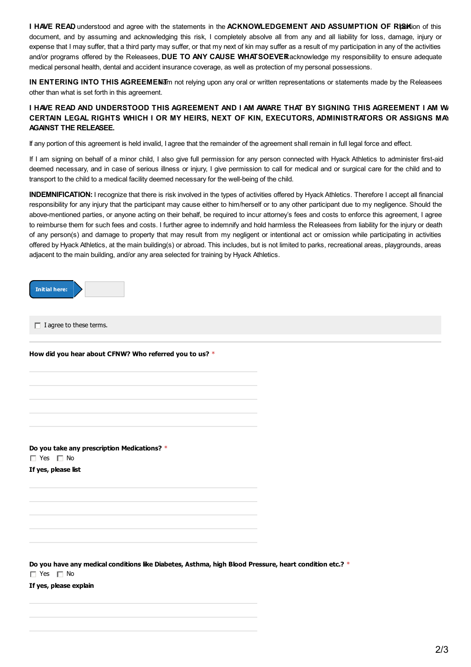**I** HAVE READ understood and agree with the statements in the ACKNOWLEDGEMENT AND ASSUMPTION OF RISS Kion of this document, and by assuming and acknowledging this risk, I completely absolve all from any and all liability for loss, damage, injury or expense that I may suffer, that a third party may suffer, or that my next of kin may suffer as a result of my participation in any of the activities and/or programs offered by the Releasees, **DUE TO ANY CAUSE WHATSOEVE**.**R**I acknowledge my responsibility to ensure adequate medical personal health, dental and accident insurance coverage, as well as protection of my personal possessions.

**IN ENTERING INTO THIS AGREEMEN<sub>I</sub>** and relying upon any oral or written representations or statements made by the Releasees other than what is set forth in this agreement.

# I HAVE READ AND UNDERSTOOD THIS AGREEMENT AND I AM AWARE THAT BY SIGNING THIS AGREEMENT I AM W **CERTAIN LEGAL RIGHTS WHICH I OR MY HEIRS, NEXT OF KIN, EXECUTORS, ADMINISTRATORS OR ASSIGNS MAY HAVE AGAINST THE RELEASEE.**

If any portion of this agreement is held invalid, I agree that the remainder of the agreement shall remain in full legal force and effect.

If I am signing on behalf of a minor child, I also give full permission for any person connected with Hyack Athletics to administer first-aid deemed necessary, and in case of serious illness or injury, I give permission to call for medical and or surgical care for the child and to transport to the child to a medical facility deemed necessary for the well-being of the child.

**INDEMNIFICATION:** I recognize that there is risk involved in the types of activities offered by Hyack Athletics. Therefore I accept all financial responsibility for any injury that the participant may cause either to him/herself or to any other participant due to my negligence. Should the above-mentioned parties, or anyone acting on their behalf, be required to incur attorney's fees and costs to enforce this agreement, I agree to reimburse them for such fees and costs. I further agree to indemnify and hold harmless the Releasees from liability for the injury or death of any person(s) and damage to property that may result from my negligent or intentional act or omission while participating in activities offered by Hyack Athletics, at the main building(s) or abroad. This includes, but is not limited to parks, recreational areas, playgrounds, areas adjacent to the main building, and/or any area selected for training by Hyack Athletics.



 $\Box$  I agree to these terms.

**How did you hear about CFNW? Who referred you to us?** \*

**Do you take any prescription Medications?** \*  $\Box$  Yes  $\Box$  No

**If yes, please list**

**Do you have any medical conditions like Diabetes, Asthma, high Blood Pressure, heart condition etc.?** \*  $\Box$  Yes  $\Box$  No

**If yes, please explain**